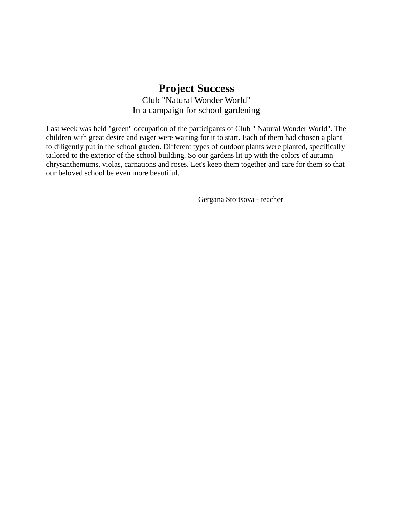## **Project Success**

Club "Natural Wonder World" In a campaign for school gardening

Last week was held "green" occupation of the participants of Club " Natural Wonder World". The children with great desire and eager were waiting for it to start. Each of them had chosen a plant to diligently put in the school garden. Different types of outdoor plants were planted, specifically tailored to the exterior of the school building. So our gardens lit up with the colors of autumn chrysanthemums, violas, carnations and roses. Let's keep them together and care for them so that our beloved school be even more beautiful.

Gergana Stoitsova - teacher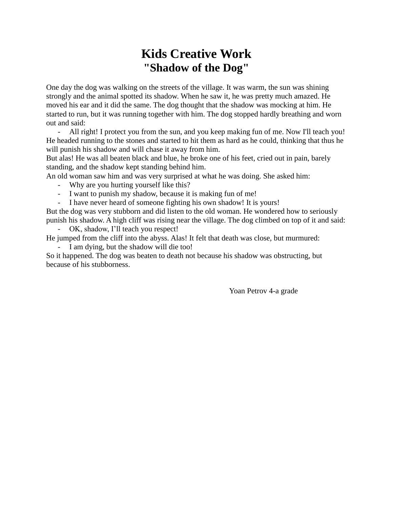## **Kids Creative Work "Shadow of the Dog"**

One day the dog was walking on the streets of the village. It was warm, the sun was shining strongly and the animal spotted its shadow. When he saw it, he was pretty much amazed. He moved his ear and it did the same. The dog thought that the shadow was mocking at him. He started to run, but it was running together with him. The dog stopped hardly breathing and worn out and said:

- All right! I protect you from the sun, and you keep making fun of me. Now I'll teach you! He headed running to the stones and started to hit them as hard as he could, thinking that thus he will punish his shadow and will chase it away from him.

But alas! He was all beaten black and blue, he broke one of his feet, cried out in pain, barely standing, and the shadow kept standing behind him.

An old woman saw him and was very surprised at what he was doing. She asked him:

- Why are you hurting yourself like this?
- I want to punish my shadow, because it is making fun of me!
- I have never heard of someone fighting his own shadow! It is yours!

But the dog was very stubborn and did listen to the old woman. He wondered how to seriously punish his shadow. A high cliff was rising near the village. The dog climbed on top of it and said:

OK, shadow, I'll teach you respect!

He jumped from the cliff into the abyss. Alas! It felt that death was close, but murmured:

I am dying, but the shadow will die too!

So it happened. The dog was beaten to death not because his shadow was obstructing, but because of his stubborness.

Yoan Petrov 4-a grade